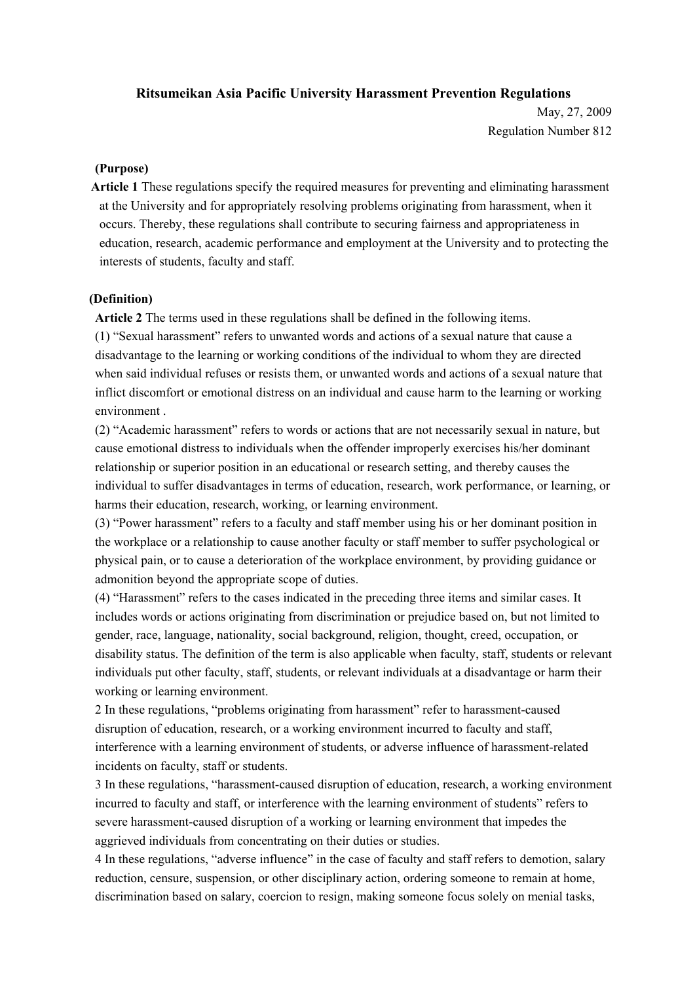### **Ritsumeikan Asia Pacific University Harassment Prevention Regulations**

May, 27, 2009 Regulation Number 812

#### **(Purpose)**

**Article 1** These regulations specify the required measures for preventing and eliminating harassment at the University and for appropriately resolving problems originating from harassment, when it occurs. Thereby, these regulations shall contribute to securing fairness and appropriateness in education, research, academic performance and employment at the University and to protecting the interests of students, faculty and staff.

#### **(Definition)**

**Article 2** The terms used in these regulations shall be defined in the following items.

(1) "Sexual harassment" refers to unwanted words and actions of a sexual nature that cause a disadvantage to the learning or working conditions of the individual to whom they are directed when said individual refuses or resists them, or unwanted words and actions of a sexual nature that inflict discomfort or emotional distress on an individual and cause harm to the learning or working environment .

(2) "Academic harassment" refers to words or actions that are not necessarily sexual in nature, but cause emotional distress to individuals when the offender improperly exercises his/her dominant relationship or superior position in an educational or research setting, and thereby causes the individual to suffer disadvantages in terms of education, research, work performance, or learning, or harms their education, research, working, or learning environment.

(3) "Power harassment" refers to a faculty and staff member using his or her dominant position in the workplace or a relationship to cause another faculty or staff member to suffer psychological or physical pain, or to cause a deterioration of the workplace environment, by providing guidance or admonition beyond the appropriate scope of duties.

(4) "Harassment" refers to the cases indicated in the preceding three items and similar cases. It includes words or actions originating from discrimination or prejudice based on, but not limited to gender, race, language, nationality, social background, religion, thought, creed, occupation, or disability status. The definition of the term is also applicable when faculty, staff, students or relevant individuals put other faculty, staff, students, or relevant individuals at a disadvantage or harm their working or learning environment.

2 In these regulations, "problems originating from harassment" refer to harassment-caused disruption of education, research, or a working environment incurred to faculty and staff, interference with a learning environment of students, or adverse influence of harassment-related incidents on faculty, staff or students.

3 In these regulations, "harassment-caused disruption of education, research, a working environment incurred to faculty and staff, or interference with the learning environment of students" refers to severe harassment-caused disruption of a working or learning environment that impedes the aggrieved individuals from concentrating on their duties or studies.

4 In these regulations, "adverse influence" in the case of faculty and staff refers to demotion, salary reduction, censure, suspension, or other disciplinary action, ordering someone to remain at home, discrimination based on salary, coercion to resign, making someone focus solely on menial tasks,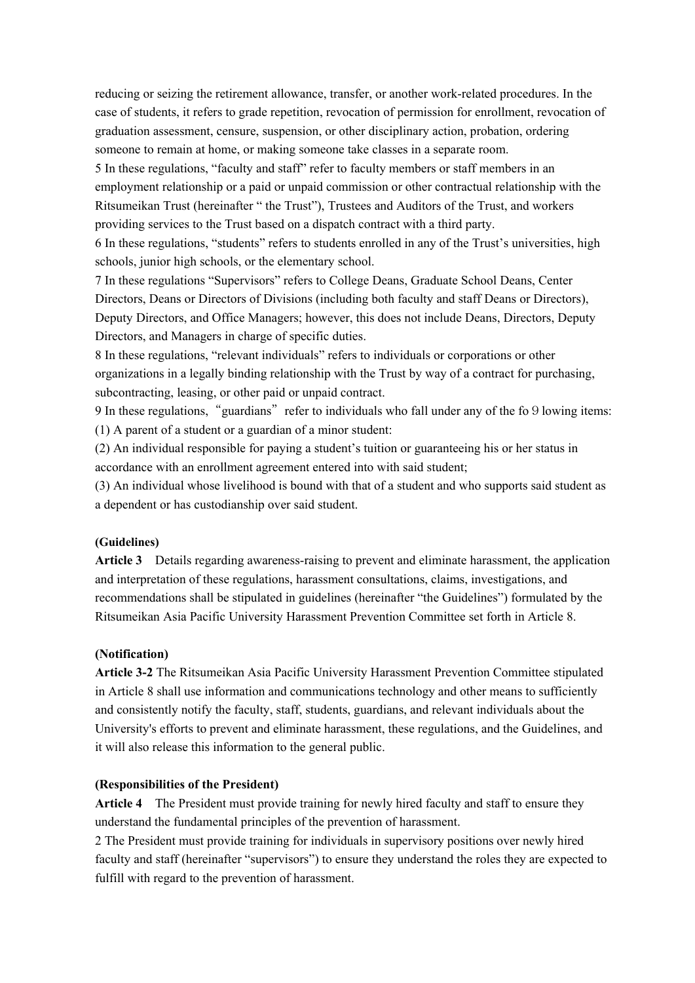reducing or seizing the retirement allowance, transfer, or another work-related procedures. In the case of students, it refers to grade repetition, revocation of permission for enrollment, revocation of graduation assessment, censure, suspension, or other disciplinary action, probation, ordering someone to remain at home, or making someone take classes in a separate room.

5 In these regulations, "faculty and staff" refer to faculty members or staff members in an employment relationship or a paid or unpaid commission or other contractual relationship with the Ritsumeikan Trust (hereinafter " the Trust"), Trustees and Auditors of the Trust, and workers providing services to the Trust based on a dispatch contract with a third party.

6 In these regulations, "students" refers to students enrolled in any of the Trust's universities, high schools, junior high schools, or the elementary school.

7 In these regulations "Supervisors" refers to College Deans, Graduate School Deans, Center Directors, Deans or Directors of Divisions (including both faculty and staff Deans or Directors), Deputy Directors, and Office Managers; however, this does not include Deans, Directors, Deputy Directors, and Managers in charge of specific duties.

8 In these regulations, "relevant individuals" refers to individuals or corporations or other organizations in a legally binding relationship with the Trust by way of a contract for purchasing, subcontracting, leasing, or other paid or unpaid contract.

9 In these regulations, "guardians" refer to individuals who fall under any of the fo9lowing items: (1) A parent of a student or a guardian of a minor student:

(2) An individual responsible for paying a student's tuition or guaranteeing his or her status in accordance with an enrollment agreement entered into with said student;

(3) An individual whose livelihood is bound with that of a student and who supports said student as a dependent or has custodianship over said student.

### **(Guidelines)**

**Article 3** Details regarding awareness-raising to prevent and eliminate harassment, the application and interpretation of these regulations, harassment consultations, claims, investigations, and recommendations shall be stipulated in guidelines (hereinafter "the Guidelines") formulated by the Ritsumeikan Asia Pacific University Harassment Prevention Committee set forth in Article 8.

### **(Notification)**

**Article 3-2** The Ritsumeikan Asia Pacific University Harassment Prevention Committee stipulated in Article 8 shall use information and communications technology and other means to sufficiently and consistently notify the faculty, staff, students, guardians, and relevant individuals about the University's efforts to prevent and eliminate harassment, these regulations, and the Guidelines, and it will also release this information to the general public.

#### **(Responsibilities of the President)**

**Article 4** The President must provide training for newly hired faculty and staff to ensure they understand the fundamental principles of the prevention of harassment.

2 The President must provide training for individuals in supervisory positions over newly hired faculty and staff (hereinafter "supervisors") to ensure they understand the roles they are expected to fulfill with regard to the prevention of harassment.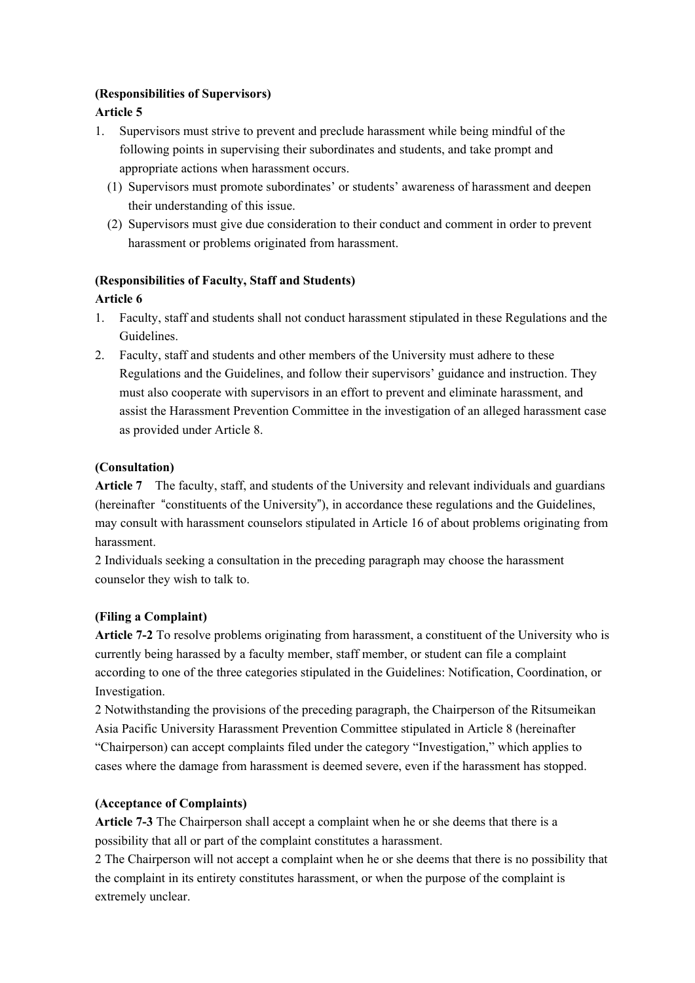# **(Responsibilities of Supervisors)**

# **Article 5**

- 1. Supervisors must strive to prevent and preclude harassment while being mindful of the following points in supervising their subordinates and students, and take prompt and appropriate actions when harassment occurs.
	- (1) Supervisors must promote subordinates' or students' awareness of harassment and deepen their understanding of this issue.
	- (2) Supervisors must give due consideration to their conduct and comment in order to prevent harassment or problems originated from harassment.

# **(Responsibilities of Faculty, Staff and Students)**

# **Article 6**

- 1. Faculty, staff and students shall not conduct harassment stipulated in these Regulations and the Guidelines.
- 2. Faculty, staff and students and other members of the University must adhere to these Regulations and the Guidelines, and follow their supervisors' guidance and instruction. They must also cooperate with supervisors in an effort to prevent and eliminate harassment, and assist the Harassment Prevention Committee in the investigation of an alleged harassment case as provided under Article 8.

# **(Consultation)**

**Article 7** The faculty, staff, and students of the University and relevant individuals and guardians (hereinafter "constituents of the University"), in accordance these regulations and the Guidelines, may consult with harassment counselors stipulated in Article 16 of about problems originating from harassment.

2 Individuals seeking a consultation in the preceding paragraph may choose the harassment counselor they wish to talk to.

# **(Filing a Complaint)**

**Article 7-2** To resolve problems originating from harassment, a constituent of the University who is currently being harassed by a faculty member, staff member, or student can file a complaint according to one of the three categories stipulated in the Guidelines: Notification, Coordination, or Investigation.

2 Notwithstanding the provisions of the preceding paragraph, the Chairperson of the Ritsumeikan Asia Pacific University Harassment Prevention Committee stipulated in Article 8 (hereinafter "Chairperson) can accept complaints filed under the category "Investigation," which applies to cases where the damage from harassment is deemed severe, even if the harassment has stopped.

### **(Acceptance of Complaints)**

**Article 7-3** The Chairperson shall accept a complaint when he or she deems that there is a possibility that all or part of the complaint constitutes a harassment.

2 The Chairperson will not accept a complaint when he or she deems that there is no possibility that the complaint in its entirety constitutes harassment, or when the purpose of the complaint is extremely unclear.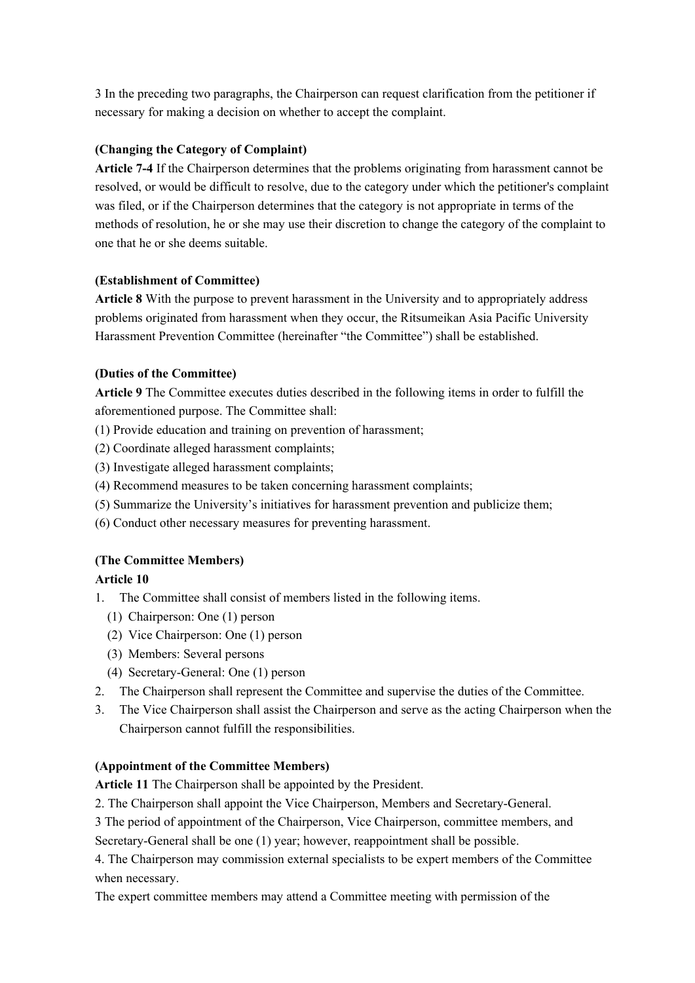3 In the preceding two paragraphs, the Chairperson can request clarification from the petitioner if necessary for making a decision on whether to accept the complaint.

### **(Changing the Category of Complaint)**

**Article 7-4** If the Chairperson determines that the problems originating from harassment cannot be resolved, or would be difficult to resolve, due to the category under which the petitioner's complaint was filed, or if the Chairperson determines that the category is not appropriate in terms of the methods of resolution, he or she may use their discretion to change the category of the complaint to one that he or she deems suitable.

#### **(Establishment of Committee)**

**Article 8** With the purpose to prevent harassment in the University and to appropriately address problems originated from harassment when they occur, the Ritsumeikan Asia Pacific University Harassment Prevention Committee (hereinafter "the Committee") shall be established.

#### **(Duties of the Committee)**

**Article 9** The Committee executes duties described in the following items in order to fulfill the aforementioned purpose. The Committee shall:

- (1) Provide education and training on prevention of harassment;
- (2) Coordinate alleged harassment complaints;
- (3) Investigate alleged harassment complaints;
- (4) Recommend measures to be taken concerning harassment complaints;
- (5) Summarize the University's initiatives for harassment prevention and publicize them;
- (6) Conduct other necessary measures for preventing harassment.

### **(The Committee Members)**

### **Article 10**

- 1. The Committee shall consist of members listed in the following items.
	- (1) Chairperson: One (1) person
	- (2) Vice Chairperson: One (1) person
	- (3) Members: Several persons
	- (4) Secretary-General: One (1) person
- 2. The Chairperson shall represent the Committee and supervise the duties of the Committee.
- 3. The Vice Chairperson shall assist the Chairperson and serve as the acting Chairperson when the Chairperson cannot fulfill the responsibilities.

#### **(Appointment of the Committee Members)**

**Article 11** The Chairperson shall be appointed by the President.

- 2. The Chairperson shall appoint the Vice Chairperson, Members and Secretary-General.
- 3 The period of appointment of the Chairperson, Vice Chairperson, committee members, and

Secretary-General shall be one (1) year; however, reappointment shall be possible.

4. The Chairperson may commission external specialists to be expert members of the Committee when necessary.

The expert committee members may attend a Committee meeting with permission of the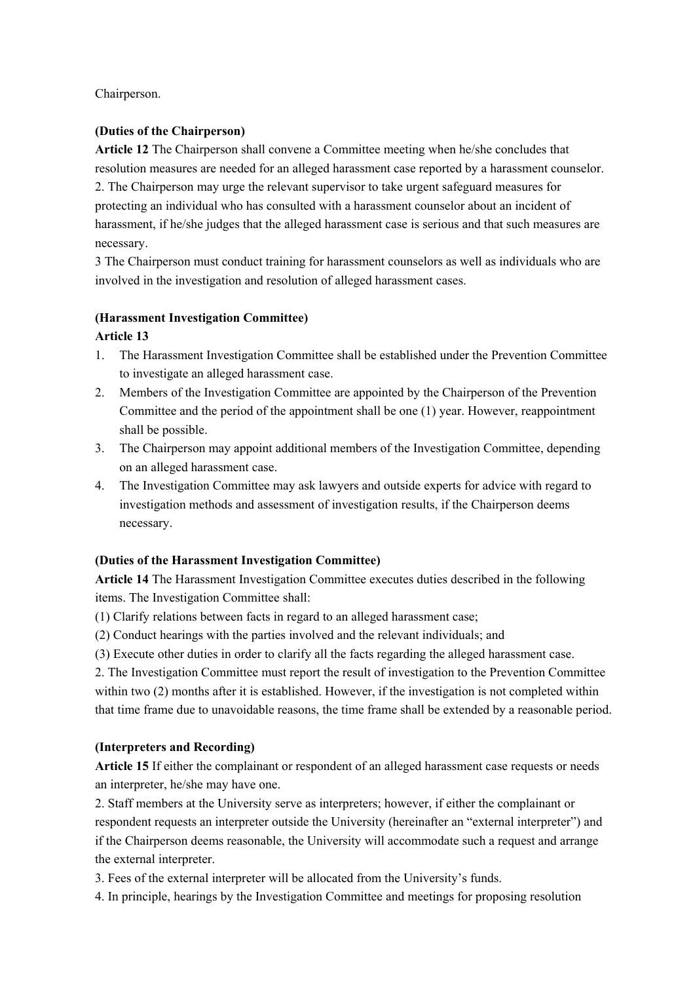Chairperson.

# **(Duties of the Chairperson)**

**Article 12** The Chairperson shall convene a Committee meeting when he/she concludes that resolution measures are needed for an alleged harassment case reported by a harassment counselor. 2. The Chairperson may urge the relevant supervisor to take urgent safeguard measures for protecting an individual who has consulted with a harassment counselor about an incident of harassment, if he/she judges that the alleged harassment case is serious and that such measures are necessary.

3 The Chairperson must conduct training for harassment counselors as well as individuals who are involved in the investigation and resolution of alleged harassment cases.

# **(Harassment Investigation Committee)**

# **Article 13**

- 1. The Harassment Investigation Committee shall be established under the Prevention Committee to investigate an alleged harassment case.
- 2. Members of the Investigation Committee are appointed by the Chairperson of the Prevention Committee and the period of the appointment shall be one (1) year. However, reappointment shall be possible.
- 3. The Chairperson may appoint additional members of the Investigation Committee, depending on an alleged harassment case.
- 4. The Investigation Committee may ask lawyers and outside experts for advice with regard to investigation methods and assessment of investigation results, if the Chairperson deems necessary.

### **(Duties of the Harassment Investigation Committee)**

**Article 14** The Harassment Investigation Committee executes duties described in the following items. The Investigation Committee shall:

(1) Clarify relations between facts in regard to an alleged harassment case;

- (2) Conduct hearings with the parties involved and the relevant individuals; and
- (3) Execute other duties in order to clarify all the facts regarding the alleged harassment case.

2. The Investigation Committee must report the result of investigation to the Prevention Committee within two (2) months after it is established. However, if the investigation is not completed within that time frame due to unavoidable reasons, the time frame shall be extended by a reasonable period.

## **(Interpreters and Recording)**

**Article 15** If either the complainant or respondent of an alleged harassment case requests or needs an interpreter, he/she may have one.

2. Staff members at the University serve as interpreters; however, if either the complainant or respondent requests an interpreter outside the University (hereinafter an "external interpreter") and if the Chairperson deems reasonable, the University will accommodate such a request and arrange the external interpreter.

3. Fees of the external interpreter will be allocated from the University's funds.

4. In principle, hearings by the Investigation Committee and meetings for proposing resolution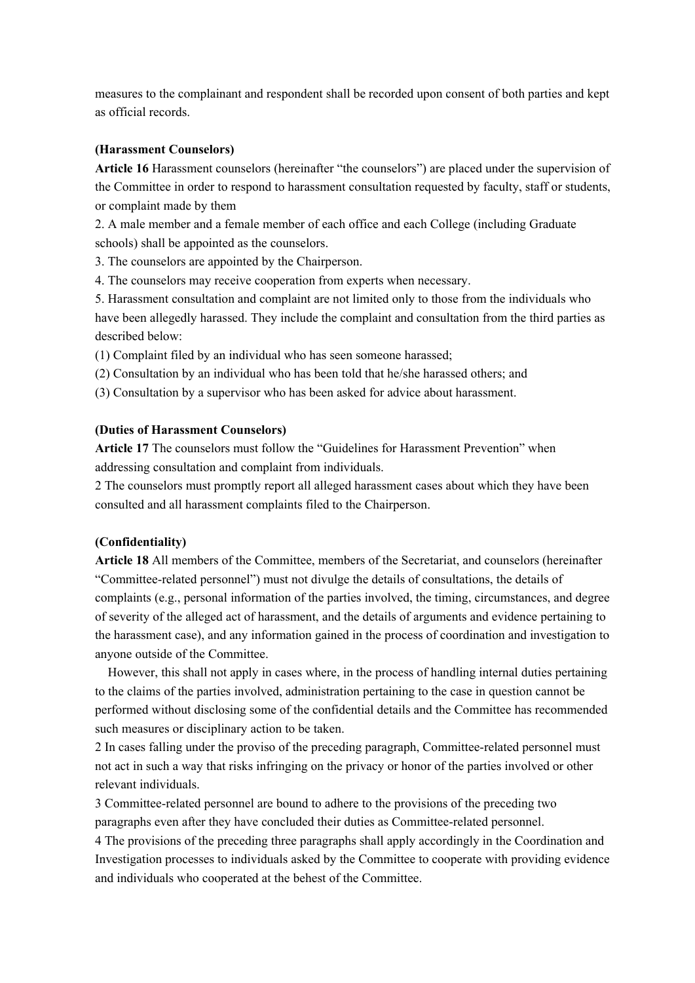measures to the complainant and respondent shall be recorded upon consent of both parties and kept as official records.

#### **(Harassment Counselors)**

**Article 16** Harassment counselors (hereinafter "the counselors") are placed under the supervision of the Committee in order to respond to harassment consultation requested by faculty, staff or students, or complaint made by them

2. A male member and a female member of each office and each College (including Graduate schools) shall be appointed as the counselors.

3. The counselors are appointed by the Chairperson.

4. The counselors may receive cooperation from experts when necessary.

5. Harassment consultation and complaint are not limited only to those from the individuals who have been allegedly harassed. They include the complaint and consultation from the third parties as described below:

(1) Complaint filed by an individual who has seen someone harassed;

(2) Consultation by an individual who has been told that he/she harassed others; and

(3) Consultation by a supervisor who has been asked for advice about harassment.

#### **(Duties of Harassment Counselors)**

**Article 17** The counselors must follow the "Guidelines for Harassment Prevention" when addressing consultation and complaint from individuals.

2 The counselors must promptly report all alleged harassment cases about which they have been consulted and all harassment complaints filed to the Chairperson.

#### **(Confidentiality)**

**Article 18** All members of the Committee, members of the Secretariat, and counselors (hereinafter "Committee-related personnel") must not divulge the details of consultations, the details of complaints (e.g., personal information of the parties involved, the timing, circumstances, and degree of severity of the alleged act of harassment, and the details of arguments and evidence pertaining to the harassment case), and any information gained in the process of coordination and investigation to anyone outside of the Committee.

However, this shall not apply in cases where, in the process of handling internal duties pertaining to the claims of the parties involved, administration pertaining to the case in question cannot be performed without disclosing some of the confidential details and the Committee has recommended such measures or disciplinary action to be taken.

2 In cases falling under the proviso of the preceding paragraph, Committee-related personnel must not act in such a way that risks infringing on the privacy or honor of the parties involved or other relevant individuals.

3 Committee-related personnel are bound to adhere to the provisions of the preceding two paragraphs even after they have concluded their duties as Committee-related personnel.

4 The provisions of the preceding three paragraphs shall apply accordingly in the Coordination and Investigation processes to individuals asked by the Committee to cooperate with providing evidence and individuals who cooperated at the behest of the Committee.